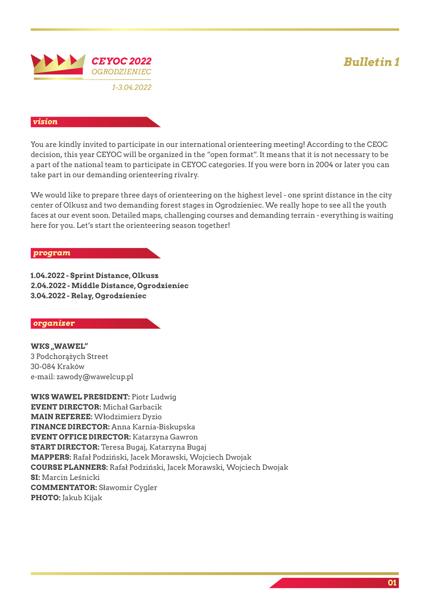# *Bulletin 1*



### *vision*

You are kindly invited to participate in our international orienteering meeting! According to the CEOC decision, this year CEYOC will be organized in the "open format". It means that it is not necessary to be a part of the national team to participate in CEYOC categories. If you were born in 2004 or later you can take part in our demanding orienteering rivalry.

We would like to prepare three days of orienteering on the highest level - one sprint distance in the city center of Olkusz and two demanding forest stages in Ogrodzieniec. We really hope to see all the youth faces at our event soon. Detailed maps, challenging courses and demanding terrain - everything is waiting here for you. Let's start the orienteering season together!

### *program*

**1.04.2022 - Sprint Distance, Olkusz 2.04.2022 - Middle Distance, Ogrodzieniec 3.04.2022 - Relay, Ogrodzieniec**

### *organizer*

**WKS** "WAWEL" 3 Podchorążych Street 30-084 Kraków e-mail: zawody@wawelcup.pl

**WKS WAWEL PRESIDENT:** Piotr Ludwig **EVENT DIRECTOR:** Michał Garbacik **MAIN REFEREE:** Włodzimierz Dyzio **FINANCE DIRECTOR:** Anna Karnia-Biskupska **EVENT OFFICE DIRECTOR:** Katarzyna Gawron **START DIRECTOR:** Teresa Bugaj, Katarzyna Bugaj **MAPPERS:** Rafał Podziński, Jacek Morawski, Wojciech Dwojak **COURSE PLANNERS:** Rafał Podziński, Jacek Morawski, Wojciech Dwojak **SI:** Marcin Leśnicki **COMMENTATOR:** Sławomir Cygler **PHOTO:** Jakub Kijak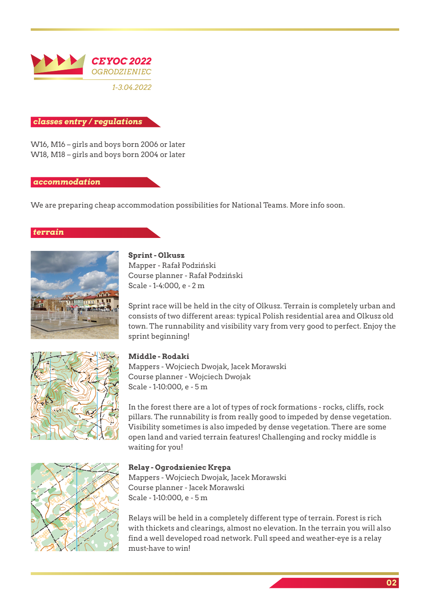

### *classes entry / regulations*

W16, M16 – girls and boys born 2006 or later W18, M18 – girls and boys born 2004 or later

### *accommodation*

We are preparing cheap accommodation possibilities for National Teams. More info soon.

### *terrain*







Sprint race will be held in the city of Olkusz. Terrain is completely urban and consists of two different areas: typical Polish residential area and Olkusz old town. The runnability and visibility vary from very good to perfect. Enjoy the sprint beginning!

### **Middle - Rodaki**

Mappers - Wojciech Dwojak, Jacek Morawski Course planner - Wojciech Dwojak Scale - 1-10:000, e - 5 m

In the forest there are a lot of types of rock formations - rocks, cliffs, rock pillars. The runnability is from really good to impeded by dense vegetation. Visibility sometimes is also impeded by dense vegetation. There are some open land and varied terrain features! Challenging and rocky middle is waiting for you!

# **Relay - Ogrodzieniec Krępa**

Mappers - Wojciech Dwojak, Jacek Morawski Course planner - Jacek Morawski Scale - 1-10:000, e - 5 m

Relays will be held in a completely different type of terrain. Forest is rich with thickets and clearings, almost no elevation. In the terrain you will also find a well developed road network. Full speed and weather-eye is a relay must-have to win!

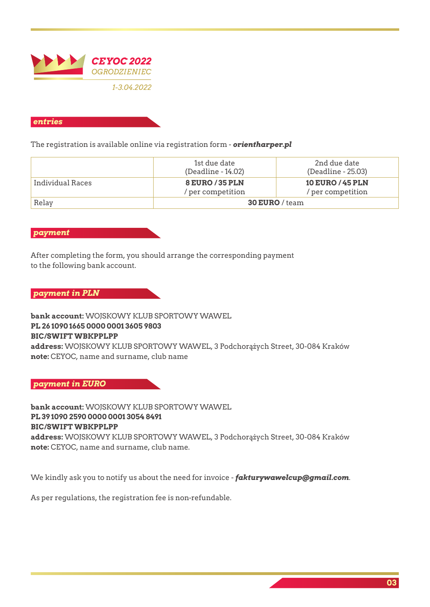

### *entries*

The registration is available online via registration form - *orientharper.pl*

|                  | 1st due date<br>(Deadline - 14.02)   | 2nd due date<br>(Deadline - 25.03)           |
|------------------|--------------------------------------|----------------------------------------------|
| Individual Races | 8 EURO / 35 PLN<br>/ per competition | <b>10 EURO / 45 PLN</b><br>/ per competition |
| Relay            | $30$ EURO / team                     |                                              |

### *payment*

After completing the form, you should arrange the corresponding payment to the following bank account.

*payment in PLN*

**bank account:** WOJSKOWY KLUB SPORTOWY WAWEL **PL 26 1090 1665 0000 0001 3605 9803 BIC/SWIFT WBKPPLPP address:** WOJSKOWY KLUB SPORTOWY WAWEL, 3 Podchorążych Street, 30-084 Kraków **note:** CEYOC, name and surname, club name

*payment in EURO*

**bank account:** WOJSKOWY KLUB SPORTOWY WAWEL **PL 39 1090 2590 0000 0001 3054 8491 BIC/SWIFT WBKPPLPP address:** WOJSKOWY KLUB SPORTOWY WAWEL, 3 Podchorążych Street, 30-084 Kraków **note:** CEYOC, name and surname, club name.

We kindly ask you to notify us about the need for invoice - *fakturywawelcup@gmail.com*.

As per regulations, the registration fee is non-refundable.